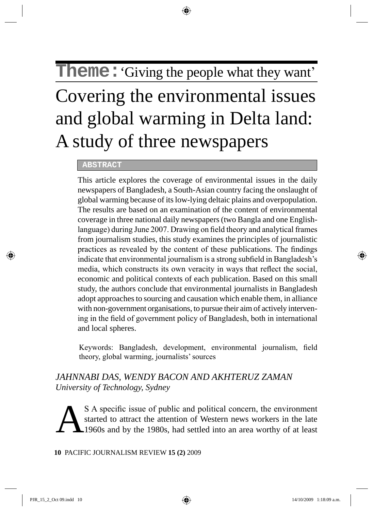# **Theme:** Giving the people what they want'

# Covering the environmental issues and global warming in Delta land: A study of three newspapers

#### **ABSTRACT**

This article explores the coverage of environmental issues in the daily newspapers of Bangladesh, a South-Asian country facing the onslaught of global warming because of its low-lying deltaic plains and overpopulation. The results are based on an examination of the content of environmental coverage in three national daily newspapers (two Bangla and one Englishlanguage) during June 2007. Drawing on field theory and analytical frames from journalism studies, this study examines the principles of journalistic practices as revealed by the content of these publications. The findings indicate that environmental journalism is a strong subfield in Bangladesh's media, which constructs its own veracity in ways that reflect the social, economic and political contexts of each publication. Based on this small study, the authors conclude that environmental journalists in Bangladesh adopt approaches to sourcing and causation which enable them, in alliance with non-government organisations, to pursue their aim of actively intervening in the field of government policy of Bangladesh, both in international and local spheres.

Keywords: Bangladesh, development, environmental journalism, field theory, global warming, journalists' sources

# *JAHNNABI DAS, WENDY BACON AND AKHTERUZ ZAMAN University of Technology, Sydney*

S A specific issue of public and political concern, the environment<br>started to attract the attention of Western news workers in the late<br>1960s and by the 1980s, had settled into an area worthy of at least started to attract the attention of Western news workers in the late 1960s and by the 1980s, had settled into an area worthy of at least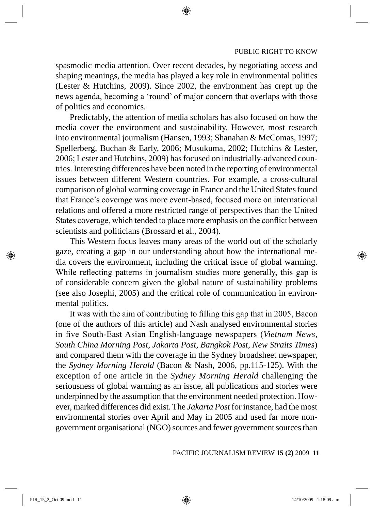spasmodic media attention. Over recent decades, by negotiating access and shaping meanings, the media has played a key role in environmental politics (Lester & Hutchins, 2009). Since 2002, the environment has crept up the news agenda, becoming a 'round' of major concern that overlaps with those of politics and economics.

Predictably, the attention of media scholars has also focused on how the media cover the environment and sustainability. However, most research into environmental journalism (Hansen, 1993; Shanahan & McComas, 1997; Spellerberg, Buchan & Early, 2006; Musukuma, 2002; Hutchins & Lester, 2006; Lester and Hutchins, 2009) has focused on industrially-advanced countries. Interesting differences have been noted in the reporting of environmental issues between different Western countries. For example, a cross-cultural comparison of global warming coverage in France and the United States found that France's coverage was more event-based, focused more on international relations and offered a more restricted range of perspectives than the United States coverage, which tended to place more emphasis on the conflict between scientists and politicians (Brossard et al., 2004).

This Western focus leaves many areas of the world out of the scholarly gaze, creating a gap in our understanding about how the international media covers the environment, including the critical issue of global warming. While reflecting patterns in journalism studies more generally, this gap is of considerable concern given the global nature of sustainability problems (see also Josephi, 2005) and the critical role of communication in environmental politics.

It was with the aim of contributing to filling this gap that in 2005, Bacon (one of the authors of this article) and Nash analysed environmental stories in five South-East Asian English-language newspapers (*Vietnam News, South China Morning Post, Jakarta Post, Bangkok Post, New Straits Times*) and compared them with the coverage in the Sydney broadsheet newspaper, the *Sydney Morning Herald* (Bacon & Nash, 2006, pp.115-125). With the exception of one article in the *Sydney Morning Herald* challenging the seriousness of global warming as an issue, all publications and stories were underpinned by the assumption that the environment needed protection. However, marked differences did exist. The *Jakarta Post* for instance, had the most environmental stories over April and May in 2005 and used far more nongovernment organisational (NGO) sources and fewer government sources than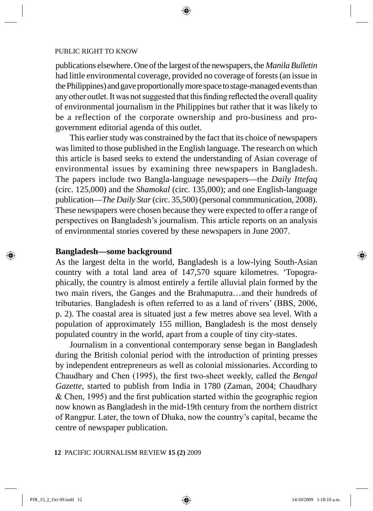publications elsewhere. One of the largest of the newspapers, the *Manila Bulletin* had little environmental coverage*,* provided no coverage of forests (an issue in the Philippines) and gave proportionally more space to stage-managed events than any other outlet. It was not suggested that this finding reflected the overall quality of environmental journalism in the Philippines but rather that it was likely to be a reflection of the corporate ownership and pro-business and progovernment editorial agenda of this outlet.

This earlier study was constrained by the fact that its choice of newspapers was limited to those published in the English language. The research on which this article is based seeks to extend the understanding of Asian coverage of environmental issues by examining three newspapers in Bangladesh. The papers include two Bangla-language newspapers—the *Daily Ittefaq*  (circ. 125,000) and the *Shamokal* (circ. 135,000); and one English-language publication—*The Daily Star* (circ. 35,500) (personal commmunication, 2008). These newspapers were chosen because they were expected to offer a range of perspectives on Bangladesh's journalism. This article reports on an analysis of environmental stories covered by these newspapers in June 2007.

# **Bangladesh—some background**

As the largest delta in the world, Bangladesh is a low-lying South-Asian country with a total land area of 147,570 square kilometres. 'Topographically, the country is almost entirely a fertile alluvial plain formed by the two main rivers, the Ganges and the Brahmaputra…and their hundreds of tributaries. Bangladesh is often referred to as a land of rivers' (BBS, 2006, p. 2). The coastal area is situated just a few metres above sea level. With a population of approximately 155 million, Bangladesh is the most densely populated country in the world, apart from a couple of tiny city-states.

Journalism in a conventional contemporary sense began in Bangladesh during the British colonial period with the introduction of printing presses by independent entrepreneurs as well as colonial missionaries. According to Chaudhary and Chen (1995), the first two-sheet weekly, called the *Bengal Gazette,* started to publish from India in 1780 (Zaman, 2004; Chaudhary & Chen, 1995) and the first publication started within the geographic region now known as Bangladesh in the mid-19th century from the northern district of Rangpur. Later, the town of Dhaka, now the country's capital, became the centre of newspaper publication.

#### **12** PACIFIC JOURNALISM REVIEW **15 (2)** 2009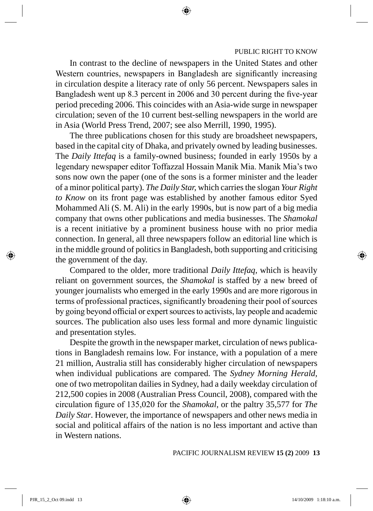In contrast to the decline of newspapers in the United States and other Western countries, newspapers in Bangladesh are significantly increasing in circulation despite a literacy rate of only 56 percent. Newspapers sales in Bangladesh went up 8.3 percent in 2006 and 30 percent during the five-year period preceding 2006. This coincides with an Asia-wide surge in newspaper circulation; seven of the 10 current best-selling newspapers in the world are in Asia (World Press Trend, 2007; see also Merrill, 1990, 1995).

The three publications chosen for this study are broadsheet newspapers, based in the capital city of Dhaka, and privately owned by leading businesses. The *Daily Ittefaq* is a family-owned business; founded in early 1950s by a legendary newspaper editor Toffazzal Hossain Manik Mia. Manik Mia's two sons now own the paper (one of the sons is a former minister and the leader of a minor political party). *The Daily Star,* which carries the slogan *Your Right to Know* on its front page was established by another famous editor Syed Mohammed Ali (S. M. Ali) in the early 1990s, but is now part of a big media company that owns other publications and media businesses. The *Shamokal*  is a recent initiative by a prominent business house with no prior media connection. In general, all three newspapers follow an editorial line which is in the middle ground of politics in Bangladesh, both supporting and criticising the government of the day.

Compared to the older, more traditional *Daily Ittefaq,* which is heavily reliant on government sources, the *Shamokal* is staffed by a new breed of younger journalists who emerged in the early 1990s and are more rigorous in terms of professional practices, significantly broadening their pool of sources by going beyond official or expert sources to activists, lay people and academic sources. The publication also uses less formal and more dynamic linguistic and presentation styles.

Despite the growth in the newspaper market, circulation of news publications in Bangladesh remains low. For instance, with a population of a mere 21 million, Australia still has considerably higher circulation of newspapers when individual publications are compared. The *Sydney Morning Herald,* one of two metropolitan dailies in Sydney, had a daily weekday circulation of 212,500 copies in 2008 (Australian Press Council, 2008), compared with the circulation figure of 135,020 for the *Shamokal*, or the paltry 35,577 for *The Daily Star*. However, the importance of newspapers and other news media in social and political affairs of the nation is no less important and active than in Western nations.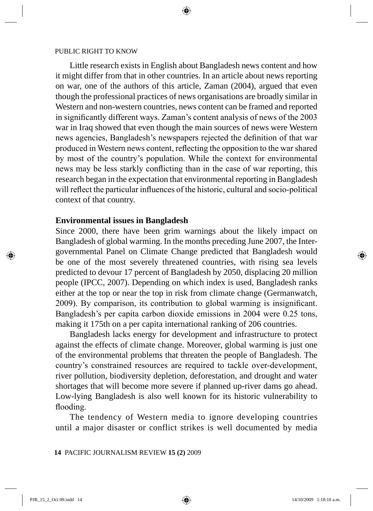Little research exists in English about Bangladesh news content and how it might differ from that in other countries. In an article about news reporting on war, one of the authors of this article, Zaman (2004), argued that even though the professional practices of news organisations are broadly similar in Western and non-western countries, news content can be framed and reported in significantly different ways. Zaman's content analysis of news of the 2003 war in Iraq showed that even though the main sources of news were Western news agencies, Bangladesh's newspapers rejected the definition of that war produced in Western news content, reflecting the opposition to the war shared by most of the country's population. While the context for environmental news may be less starkly conflicting than in the case of war reporting, this research began in the expectation that environmental reporting in Bangladesh will reflect the particular influences of the historic, cultural and socio-political context of that country.

# **Environmental issues in Bangladesh**

Since 2000, there have been grim warnings about the likely impact on Bangladesh of global warming. In the months preceding June 2007, the Intergovernmental Panel on Climate Change predicted that Bangladesh would be one of the most severely threatened countries, with rising sea levels predicted to devour 17 percent of Bangladesh by 2050, displacing 20 million people (IPCC, 2007). Depending on which index is used, Bangladesh ranks either at the top or near the top in risk from climate change (Germanwatch, 2009). By comparison, its contribution to global warming is insignificant. Bangladesh's per capita carbon dioxide emissions in 2004 were 0.25 tons, making it 175th on a per capita international ranking of 206 countries.

Bangladesh lacks energy for development and infrastructure to protect against the effects of climate change. Moreover, global warming is just one of the environmental problems that threaten the people of Bangladesh. The country's constrained resources are required to tackle over-development, river pollution, biodiversity depletion, deforestation, and drought and water shortages that will become more severe if planned up-river dams go ahead. Low-lying Bangladesh is also well known for its historic vulnerability to flooding.

The tendency of Western media to ignore developing countries until a major disaster or conflict strikes is well documented by media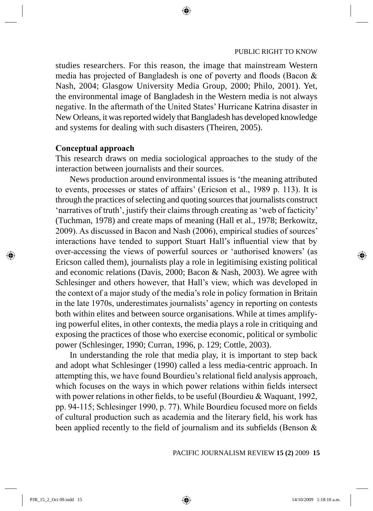studies researchers. For this reason, the image that mainstream Western media has projected of Bangladesh is one of poverty and floods (Bacon & Nash, 2004; Glasgow University Media Group, 2000; Philo, 2001). Yet, the environmental image of Bangladesh in the Western media is not always negative. In the aftermath of the United States' Hurricane Katrina disaster in New Orleans, it was reported widely that Bangladesh has developed knowledge and systems for dealing with such disasters (Theiren, 2005).

# **Conceptual approach**

This research draws on media sociological approaches to the study of the interaction between journalists and their sources.

News production around environmental issues is 'the meaning attributed to events, processes or states of affairs' (Ericson et al., 1989 p. 113). It is through the practices of selecting and quoting sources that journalists construct 'narratives of truth', justify their claims through creating as 'web of facticity' (Tuchman, 1978) and create maps of meaning (Hall et al., 1978; Berkowitz, 2009). As discussed in Bacon and Nash (2006), empirical studies of sources' interactions have tended to support Stuart Hall's influential view that by over-accessing the views of powerful sources or 'authorised knowers' (as Ericson called them), journalists play a role in legitimising existing political and economic relations (Davis, 2000; Bacon & Nash, 2003). We agree with Schlesinger and others however, that Hall's view, which was developed in the context of a major study of the media's role in policy formation in Britain in the late 1970s, underestimates journalists' agency in reporting on contests both within elites and between source organisations. While at times amplifying powerful elites, in other contexts, the media plays a role in critiquing and exposing the practices of those who exercise economic, political or symbolic power (Schlesinger, 1990; Curran, 1996, p. 129; Cottle, 2003).

In understanding the role that media play, it is important to step back and adopt what Schlesinger (1990) called a less media-centric approach. In attempting this, we have found Bourdieu's relational field analysis approach, which focuses on the ways in which power relations within fields intersect with power relations in other fields, to be useful (Bourdieu & Waquant, 1992, pp. 94-115; Schlesinger 1990, p. 77). While Bourdieu focused more on fields of cultural production such as academia and the literary field, his work has been applied recently to the field of journalism and its subfields (Benson &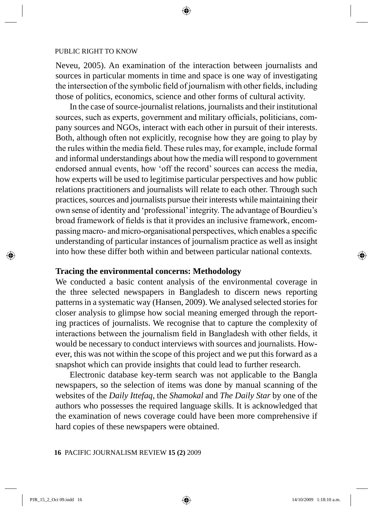Neveu, 2005). An examination of the interaction between journalists and sources in particular moments in time and space is one way of investigating the intersection of the symbolic field of journalism with other fields, including those of politics, economics, science and other forms of cultural activity.

In the case of source-journalist relations, journalists and their institutional sources, such as experts, government and military officials, politicians, company sources and NGOs, interact with each other in pursuit of their interests. Both, although often not explicitly, recognise how they are going to play by the rules within the media field. These rules may, for example, include formal and informal understandings about how the media will respond to government endorsed annual events, how 'off the record' sources can access the media, how experts will be used to legitimise particular perspectives and how public relations practitioners and journalists will relate to each other. Through such practices, sources and journalists pursue their interests while maintaining their own sense of identity and 'professional' integrity. The advantage of Bourdieu's broad framework of fields is that it provides an inclusive framework, encompassing macro- and micro-organisational perspectives, which enables a specific understanding of particular instances of journalism practice as well as insight into how these differ both within and between particular national contexts.

# **Tracing the environmental concerns: Methodology**

We conducted a basic content analysis of the environmental coverage in the three selected newspapers in Bangladesh to discern news reporting patterns in a systematic way (Hansen, 2009). We analysed selected stories for closer analysis to glimpse how social meaning emerged through the reporting practices of journalists. We recognise that to capture the complexity of interactions between the journalism field in Bangladesh with other fields, it would be necessary to conduct interviews with sources and journalists. However, this was not within the scope of this project and we put this forward as a snapshot which can provide insights that could lead to further research.

Electronic database key-term search was not applicable to the Bangla newspapers, so the selection of items was done by manual scanning of the websites of the *Daily Ittefaq*, the *Shamokal* and *The Daily Star* by one of the authors who possesses the required language skills. It is acknowledged that the examination of news coverage could have been more comprehensive if hard copies of these newspapers were obtained.

#### **16** PACIFIC JOURNALISM REVIEW **15 (2)** 2009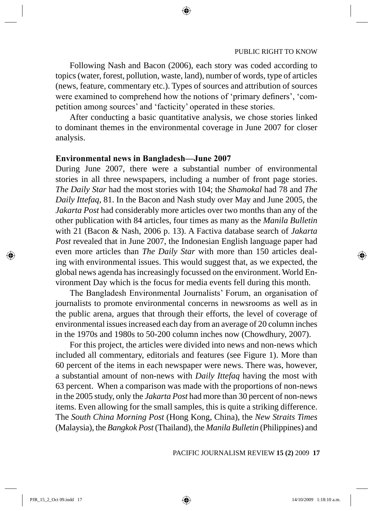Following Nash and Bacon (2006), each story was coded according to topics (water, forest, pollution, waste, land), number of words, type of articles (news, feature, commentary etc.). Types of sources and attribution of sources were examined to comprehend how the notions of 'primary definers', 'competition among sources' and 'facticity' operated in these stories.

After conducting a basic quantitative analysis, we chose stories linked to dominant themes in the environmental coverage in June 2007 for closer analysis.

# **Environmental news in Bangladesh—June 2007**

During June 2007, there were a substantial number of environmental stories in all three newspapers, including a number of front page stories. *The Daily Star* had the most stories with 104; the *Shamokal* had 78 and *The Daily Ittefaq*, 81. In the Bacon and Nash study over May and June 2005, the *Jakarta Post* had considerably more articles over two months than any of the other publication with 84 articles, four times as many as the *Manila Bulletin* with 21 (Bacon & Nash, 2006 p. 13). A Factiva database search of *Jakarta Post* revealed that in June 2007, the Indonesian English language paper had even more articles than *The Daily Star* with more than 150 articles dealing with environmental issues. This would suggest that, as we expected, the global news agenda has increasingly focussed on the environment. World Environment Day which is the focus for media events fell during this month.

The Bangladesh Environmental Journalists' Forum, an organisation of journalists to promote environmental concerns in newsrooms as well as in the public arena, argues that through their efforts, the level of coverage of environmental issues increased each day from an average of 20 column inches in the 1970s and 1980s to 50-200 column inches now (Chowdhury, 2007).

For this project, the articles were divided into news and non-news which included all commentary, editorials and features (see Figure 1). More than 60 percent of the items in each newspaper were news. There was, however, a substantial amount of non-news with *Daily Ittefaq* having the most with 63 percent. When a comparison was made with the proportions of non-news in the 2005 study, only the *Jakarta Post* had more than 30 percent of non-news items. Even allowing for the small samples, this is quite a striking difference. The *South China Morning Post* (Hong Kong, China), the *New Straits Times* (Malaysia), the *Bangkok Post* (Thailand), the *Manila Bulletin* (Philippines) and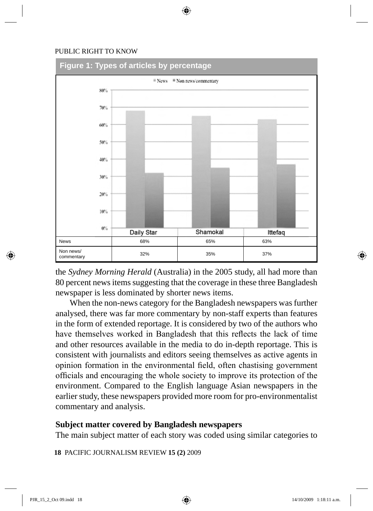

the *Sydney Morning Herald* (Australia) in the 2005 study, all had more than 80 percent news items suggesting that the coverage in these three Bangladesh newspaper is less dominated by shorter news items.

When the non-news category for the Bangladesh newspapers was further analysed, there was far more commentary by non-staff experts than features in the form of extended reportage. It is considered by two of the authors who have themselves worked in Bangladesh that this reflects the lack of time and other resources available in the media to do in-depth reportage. This is consistent with journalists and editors seeing themselves as active agents in opinion formation in the environmental field, often chastising government officials and encouraging the whole society to improve its protection of the environment. Compared to the English language Asian newspapers in the earlier study, these newspapers provided more room for pro-environmentalist commentary and analysis.

# **Subject matter covered by Bangladesh newspapers**

The main subject matter of each story was coded using similar categories to

**18** PACIFIC JOURNALISM REVIEW **15 (2)** 2009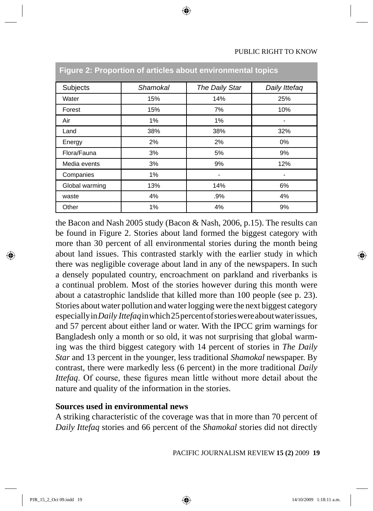| Subjects       | Shamokal | The Daily Star | Daily Ittefaq |
|----------------|----------|----------------|---------------|
| Water          | 15%      | 14%            | 25%           |
| Forest         | 15%      | 7%             | 10%           |
| Air            | 1%       | 1%             |               |
| Land           | 38%      | 38%            | 32%           |
| Energy         | 2%       | 2%             | $0\%$         |
| Flora/Fauna    | 3%       | 5%             | 9%            |
| Media events   | 3%       | 9%             | 12%           |
| Companies      | 1%       |                |               |
| Global warming | 13%      | 14%            | 6%            |
| waste          | 4%       | .9%            | 4%            |
| Other          | 1%       | 4%             | 9%            |

# **Figure 2: Proportion of articles about environmental topics**

the Bacon and Nash 2005 study (Bacon & Nash, 2006, p.15). The results can be found in Figure 2. Stories about land formed the biggest category with more than 30 percent of all environmental stories during the month being about land issues. This contrasted starkly with the earlier study in which there was negligible coverage about land in any of the newspapers. In such a densely populated country, encroachment on parkland and riverbanks is a continual problem. Most of the stories however during this month were about a catastrophic landslide that killed more than 100 people (see p. 23). Stories about water pollution and water logging were the next biggest category especially in *Daily Ittefaq* in which 25 percent of stories were about water issues, and 57 percent about either land or water. With the IPCC grim warnings for Bangladesh only a month or so old, it was not surprising that global warming was the third biggest category with 14 percent of stories in *The Daily Star* and 13 percent in the younger, less traditional *Shamokal* newspaper. By contrast, there were markedly less (6 percent) in the more traditional *Daily Ittefaq*. Of course, these figures mean little without more detail about the nature and quality of the information in the stories.

# **Sources used in environmental news**

A striking characteristic of the coverage was that in more than 70 percent of *Daily Ittefaq* stories and 66 percent of the *Shamokal* stories did not directly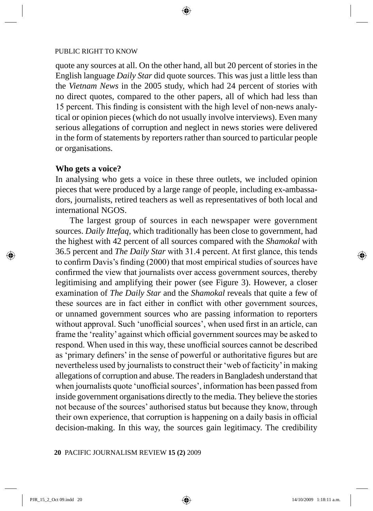quote any sources at all. On the other hand, all but 20 percent of stories in the English language *Daily Star* did quote sources. This was just a little less than the *Vietnam News* in the 2005 study, which had 24 percent of stories with no direct quotes, compared to the other papers, all of which had less than 15 percent. This finding is consistent with the high level of non-news analytical or opinion pieces (which do not usually involve interviews). Even many serious allegations of corruption and neglect in news stories were delivered in the form of statements by reporters rather than sourced to particular people or organisations.

# **Who gets a voice?**

In analysing who gets a voice in these three outlets, we included opinion pieces that were produced by a large range of people, including ex-ambassadors, journalists, retired teachers as well as representatives of both local and international NGOS.

The largest group of sources in each newspaper were government sources. *Daily Ittefaq*, which traditionally has been close to government, had the highest with 42 percent of all sources compared with the *Shamokal* with 36.5 percent and *The Daily Star* with 31.4 percent. At first glance, this tends to confirm Davis's finding (2000) that most empirical studies of sources have confirmed the view that journalists over access government sources, thereby legitimising and amplifying their power (see Figure 3). However, a closer examination of *The Daily Star* and the *Shamokal* reveals that quite a few of these sources are in fact either in conflict with other government sources, or unnamed government sources who are passing information to reporters without approval. Such 'unofficial sources', when used first in an article, can frame the 'reality' against which official government sources may be asked to respond. When used in this way, these unofficial sources cannot be described as 'primary definers' in the sense of powerful or authoritative figures but are nevertheless used by journalists to construct their 'web of facticity' in making allegations of corruption and abuse. The readers in Bangladesh understand that when journalists quote 'unofficial sources', information has been passed from inside government organisations directly to the media. They believe the stories not because of the sources' authorised status but because they know, through their own experience, that corruption is happening on a daily basis in official decision-making. In this way, the sources gain legitimacy. The credibility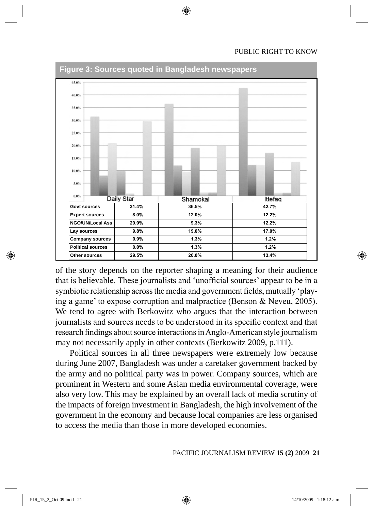

of the story depends on the reporter shaping a meaning for their audience that is believable. These journalists and 'unofficial sources' appear to be in a symbiotic relationship across the media and government fields, mutually 'playing a game' to expose corruption and malpractice (Benson & Neveu, 2005). We tend to agree with Berkowitz who argues that the interaction between journalists and sources needs to be understood in its specific context and that research findings about source interactions in Anglo-American style journalism may not necessarily apply in other contexts (Berkowitz 2009, p.111).

Political sources in all three newspapers were extremely low because during June 2007, Bangladesh was under a caretaker government backed by the army and no political party was in power. Company sources, which are prominent in Western and some Asian media environmental coverage, were also very low. This may be explained by an overall lack of media scrutiny of the impacts of foreign investment in Bangladesh, the high involvement of the government in the economy and because local companies are less organised to access the media than those in more developed economies.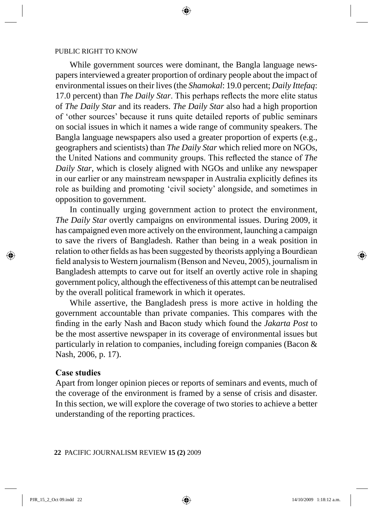While government sources were dominant, the Bangla language newspapers interviewed a greater proportion of ordinary people about the impact of environmental issues on their lives (the *Shamokal*: 19.0 percent; *Daily Ittefaq*: 17.0 percent) than *The Daily Star*. This perhaps reflects the more elite status of *The Daily Star* and its readers. *The Daily Star* also had a high proportion of 'other sources' because it runs quite detailed reports of public seminars on social issues in which it names a wide range of community speakers. The Bangla language newspapers also used a greater proportion of experts (e.g., geographers and scientists) than *The Daily Star* which relied more on NGOs, the United Nations and community groups. This reflected the stance of *The Daily Star*, which is closely aligned with NGOs and unlike any newspaper in our earlier or any mainstream newspaper in Australia explicitly defines its role as building and promoting 'civil society' alongside, and sometimes in opposition to government.

In continually urging government action to protect the environment, *The Daily Star* overtly campaigns on environmental issues. During 2009, it has campaigned even more actively on the environment, launching a campaign to save the rivers of Bangladesh. Rather than being in a weak position in relation to other fields as has been suggested by theorists applying a Bourdiean field analysis to Western journalism (Benson and Neveu, 2005), journalism in Bangladesh attempts to carve out for itself an overtly active role in shaping government policy, although the effectiveness of this attempt can be neutralised by the overall political framework in which it operates.

While assertive, the Bangladesh press is more active in holding the government accountable than private companies. This compares with the finding in the early Nash and Bacon study which found the *Jakarta Post* to be the most assertive newspaper in its coverage of environmental issues but particularly in relation to companies, including foreign companies (Bacon & Nash, 2006, p. 17).

#### **Case studies**

Apart from longer opinion pieces or reports of seminars and events, much of the coverage of the environment is framed by a sense of crisis and disaster. In this section, we will explore the coverage of two stories to achieve a better understanding of the reporting practices.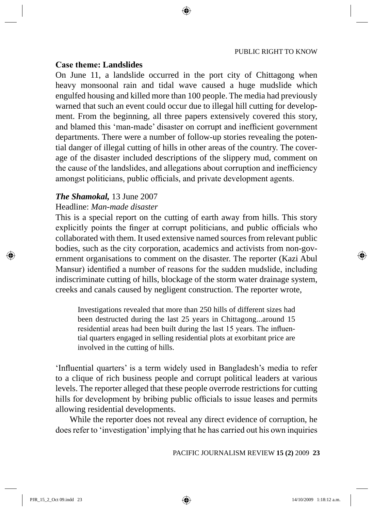# **Case theme: Landslides**

On June 11, a landslide occurred in the port city of Chittagong when heavy monsoonal rain and tidal wave caused a huge mudslide which engulfed housing and killed more than 100 people. The media had previously warned that such an event could occur due to illegal hill cutting for development. From the beginning, all three papers extensively covered this story, and blamed this 'man-made' disaster on corrupt and inefficient government departments. There were a number of follow-up stories revealing the potential danger of illegal cutting of hills in other areas of the country. The coverage of the disaster included descriptions of the slippery mud, comment on the cause of the landslides, and allegations about corruption and inefficiency amongst politicians, public officials, and private development agents.

#### *The Shamokal,* 13 June 2007

# Headline: *Man-made disaster*

This is a special report on the cutting of earth away from hills. This story explicitly points the finger at corrupt politicians, and public officials who collaborated with them. It used extensive named sources from relevant public bodies, such as the city corporation, academics and activists from non-government organisations to comment on the disaster. The reporter (Kazi Abul Mansur) identified a number of reasons for the sudden mudslide, including indiscriminate cutting of hills, blockage of the storm water drainage system, creeks and canals caused by negligent construction. The reporter wrote,

Investigations revealed that more than 250 hills of different sizes had been destructed during the last 25 years in Chittagong...around 15 residential areas had been built during the last 15 years. The influential quarters engaged in selling residential plots at exorbitant price are involved in the cutting of hills.

'Influential quarters' is a term widely used in Bangladesh's media to refer to a clique of rich business people and corrupt political leaders at various levels. The reporter alleged that these people overrode restrictions for cutting hills for development by bribing public officials to issue leases and permits allowing residential developments.

While the reporter does not reveal any direct evidence of corruption, he does refer to 'investigation' implying that he has carried out his own inquiries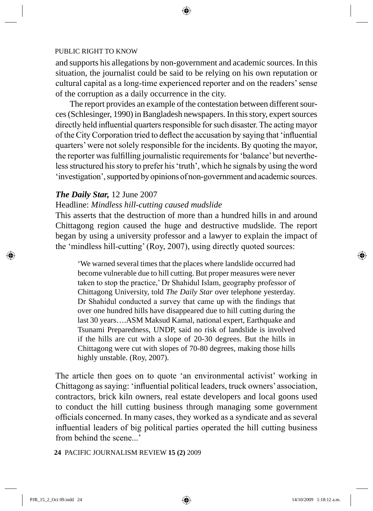and supports his allegations by non-government and academic sources. In this situation, the journalist could be said to be relying on his own reputation or cultural capital as a long-time experienced reporter and on the readers' sense of the corruption as a daily occurrence in the city.

The report provides an example of the contestation between different sources (Schlesinger, 1990) in Bangladesh newspapers. In this story, expert sources directly held influential quarters responsible for such disaster. The acting mayor of the City Corporation tried to deflect the accusation by saying that 'influential quarters' were not solely responsible for the incidents. By quoting the mayor, the reporter was fulfilling journalistic requirements for 'balance' but nevertheless structured his story to prefer his 'truth', which he signals by using the word 'investigation', supported by opinions of non-government and academic sources.

# *The Daily Star,* 12 June 2007

# Headline: *Mindless hill-cutting caused mudslide*

This asserts that the destruction of more than a hundred hills in and around Chittagong region caused the huge and destructive mudslide. The report began by using a university professor and a lawyer to explain the impact of the 'mindless hill-cutting' (Roy, 2007), using directly quoted sources:

'We warned several times that the places where landslide occurred had become vulnerable due to hill cutting. But proper measures were never taken to stop the practice,' Dr Shahidul Islam, geography professor of Chittagong University, told *The Daily Star* over telephone yesterday. Dr Shahidul conducted a survey that came up with the findings that over one hundred hills have disappeared due to hill cutting during the last 30 years….ASM Maksud Kamal, national expert, Earthquake and Tsunami Preparedness, UNDP, said no risk of landslide is involved if the hills are cut with a slope of 20-30 degrees. But the hills in Chittagong were cut with slopes of 70-80 degrees, making those hills highly unstable. (Roy, 2007).

The article then goes on to quote 'an environmental activist' working in Chittagong as saying: 'influential political leaders, truck owners' association, contractors, brick kiln owners, real estate developers and local goons used to conduct the hill cutting business through managing some government officials concerned. In many cases, they worked as a syndicate and as several influential leaders of big political parties operated the hill cutting business from behind the scene...'

**24** PACIFIC JOURNALISM REVIEW **15 (2)** 2009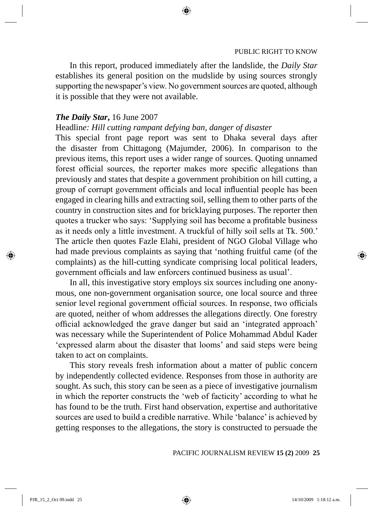In this report, produced immediately after the landslide, the *Daily Star* establishes its general position on the mudslide by using sources strongly supporting the newspaper's view. No government sources are quoted, although it is possible that they were not available.

# *The Daily Star***,** 16 June 2007

# Headlin*e: Hill cutting rampant defying ban, danger of disaster*

This special front page report was sent to Dhaka several days after the disaster from Chittagong (Majumder, 2006). In comparison to the previous items, this report uses a wider range of sources. Quoting unnamed forest official sources, the reporter makes more specific allegations than previously and states that despite a government prohibition on hill cutting, a group of corrupt government officials and local influential people has been engaged in clearing hills and extracting soil, selling them to other parts of the country in construction sites and for bricklaying purposes. The reporter then quotes a trucker who says: 'Supplying soil has become a profitable business as it needs only a little investment. A truckful of hilly soil sells at Tk. 500.' The article then quotes Fazle Elahi, president of NGO Global Village who had made previous complaints as saying that 'nothing fruitful came (of the complaints) as the hill-cutting syndicate comprising local political leaders, government officials and law enforcers continued business as usual'.

In all, this investigative story employs six sources including one anonymous, one non-government organisation source, one local source and three senior level regional government official sources. In response, two officials are quoted, neither of whom addresses the allegations directly. One forestry official acknowledged the grave danger but said an 'integrated approach' was necessary while the Superintendent of Police Mohammad Abdul Kader 'expressed alarm about the disaster that looms' and said steps were being taken to act on complaints.

This story reveals fresh information about a matter of public concern by independently collected evidence. Responses from those in authority are sought. As such, this story can be seen as a piece of investigative journalism in which the reporter constructs the 'web of facticity' according to what he has found to be the truth. First hand observation, expertise and authoritative sources are used to build a credible narrative. While 'balance' is achieved by getting responses to the allegations, the story is constructed to persuade the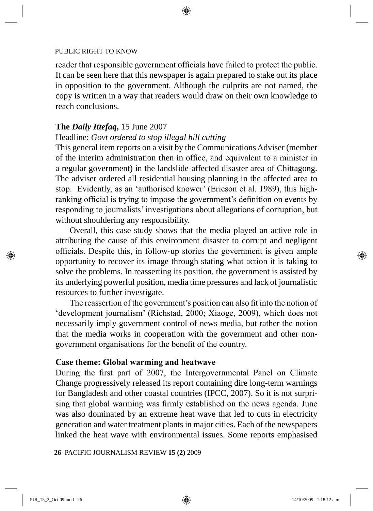reader that responsible government officials have failed to protect the public. It can be seen here that this newspaper is again prepared to stake out its place in opposition to the government. Although the culprits are not named, the copy is written in a way that readers would draw on their own knowledge to reach conclusions.

# **The** *Daily Ittefaq***,** 15 June 2007

# Headline: *Govt ordered to stop illegal hill cutting*

This general item reports on a visit by the Communications Adviser (member of the interim administration **t**hen in office, and equivalent to a minister in a regular government) in the landslide-affected disaster area of Chittagong. The adviser ordered all residential housing planning in the affected area to stop. Evidently, as an 'authorised knower' (Ericson et al. 1989), this highranking official is trying to impose the government's definition on events by responding to journalists' investigations about allegations of corruption, but without shouldering any responsibility.

Overall, this case study shows that the media played an active role in attributing the cause of this environment disaster to corrupt and negligent officials. Despite this, in follow-up stories the government is given ample opportunity to recover its image through stating what action it is taking to solve the problems. In reasserting its position, the government is assisted by its underlying powerful position, media time pressures and lack of journalistic resources to further investigate.

The reassertion of the government's position can also fit into the notion of 'development journalism' (Richstad, 2000; Xiaoge, 2009), which does not necessarily imply government control of news media, but rather the notion that the media works in cooperation with the government and other nongovernment organisations for the benefit of the country.

# **Case theme: Global warming and heatwave**

During the first part of 2007, the Intergovernmental Panel on Climate Change progressively released its report containing dire long-term warnings for Bangladesh and other coastal countries (IPCC, 2007). So it is not surprising that global warming was firmly established on the news agenda. June was also dominated by an extreme heat wave that led to cuts in electricity generation and water treatment plants in major cities. Each of the newspapers linked the heat wave with environmental issues. Some reports emphasised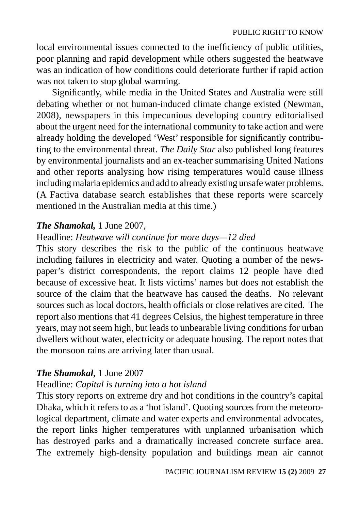local environmental issues connected to the inefficiency of public utilities, poor planning and rapid development while others suggested the heatwave was an indication of how conditions could deteriorate further if rapid action was not taken to stop global warming.

Significantly, while media in the United States and Australia were still debating whether or not human-induced climate change existed (Newman, 2008), newspapers in this impecunious developing country editorialised about the urgent need for the international community to take action and were already holding the developed 'West' responsible for significantly contributing to the environmental threat. *The Daily Star* also published long features by environmental journalists and an ex-teacher summarising United Nations and other reports analysing how rising temperatures would cause illness including malaria epidemics and add to already existing unsafe water problems. (A Factiva database search establishes that these reports were scarcely mentioned in the Australian media at this time.)

# *The Shamokal,* 1 June 2007,

# Headline: *Heatwave will continue for more days—12 died*

This story describes the risk to the public of the continuous heatwave including failures in electricity and water. Quoting a number of the newspaper's district correspondents, the report claims 12 people have died because of excessive heat. It lists victims' names but does not establish the source of the claim that the heatwave has caused the deaths. No relevant sources such as local doctors, health officials or close relatives are cited. The report also mentions that 41 degrees Celsius, the highest temperature in three years, may not seem high, but leads to unbearable living conditions for urban dwellers without water, electricity or adequate housing. The report notes that the monsoon rains are arriving later than usual.

#### *The Shamokal***,** 1 June 2007

# Headline: *Capital is turning into a hot island*

This story reports on extreme dry and hot conditions in the country's capital Dhaka, which it refers to as a 'hot island'. Quoting sources from the meteorological department, climate and water experts and environmental advocates, the report links higher temperatures with unplanned urbanisation which has destroyed parks and a dramatically increased concrete surface area. The extremely high-density population and buildings mean air cannot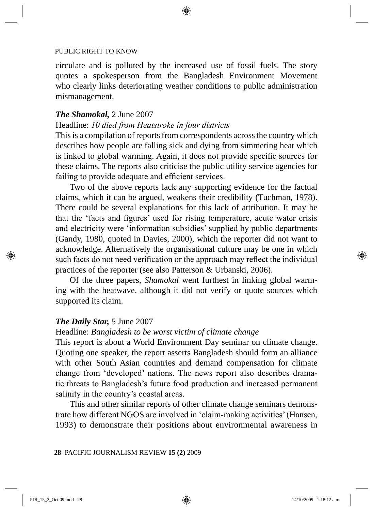circulate and is polluted by the increased use of fossil fuels. The story quotes a spokesperson from the Bangladesh Environment Movement who clearly links deteriorating weather conditions to public administration mismanagement.

#### *The Shamokal,* 2 June 2007

# Headline: *10 died from Heatstroke in four districts*

This is a compilation of reports from correspondents across the country which describes how people are falling sick and dying from simmering heat which is linked to global warming. Again, it does not provide specific sources for these claims. The reports also criticise the public utility service agencies for failing to provide adequate and efficient services.

Two of the above reports lack any supporting evidence for the factual claims, which it can be argued, weakens their credibility (Tuchman, 1978). There could be several explanations for this lack of attribution. It may be that the 'facts and figures' used for rising temperature, acute water crisis and electricity were 'information subsidies' supplied by public departments (Gandy, 1980, quoted in Davies, 2000), which the reporter did not want to acknowledge. Alternatively the organisational culture may be one in which such facts do not need verification or the approach may reflect the individual practices of the reporter (see also Patterson & Urbanski, 2006).

Of the three papers, *Shamokal* went furthest in linking global warming with the heatwave, although it did not verify or quote sources which supported its claim.

# *The Daily Star,* 5 June 2007

# Headline: *Bangladesh to be worst victim of climate change*

This report is about a World Environment Day seminar on climate change. Quoting one speaker, the report asserts Bangladesh should form an alliance with other South Asian countries and demand compensation for climate change from 'developed' nations. The news report also describes dramatic threats to Bangladesh's future food production and increased permanent salinity in the country's coastal areas.

This and other similar reports of other climate change seminars demonstrate how different NGOS are involved in 'claim-making activities' (Hansen, 1993) to demonstrate their positions about environmental awareness in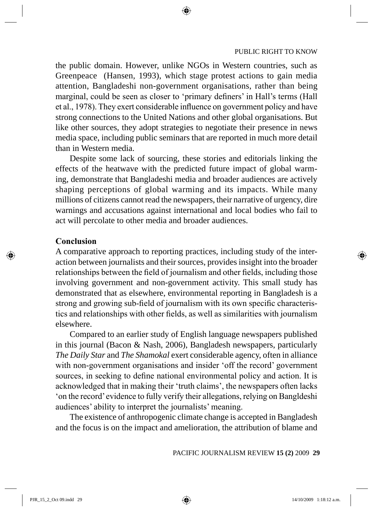the public domain. However, unlike NGOs in Western countries, such as Greenpeace (Hansen, 1993), which stage protest actions to gain media attention, Bangladeshi non-government organisations, rather than being marginal, could be seen as closer to 'primary definers' in Hall's terms (Hall et al., 1978). They exert considerable influence on government policy and have strong connections to the United Nations and other global organisations. But like other sources, they adopt strategies to negotiate their presence in news media space, including public seminars that are reported in much more detail than in Western media.

Despite some lack of sourcing, these stories and editorials linking the effects of the heatwave with the predicted future impact of global warming, demonstrate that Bangladeshi media and broader audiences are actively shaping perceptions of global warming and its impacts. While many millions of citizens cannot read the newspapers, their narrative of urgency, dire warnings and accusations against international and local bodies who fail to act will percolate to other media and broader audiences.

# **Conclusion**

A comparative approach to reporting practices, including study of the interaction between journalists and their sources, provides insight into the broader relationships between the field of journalism and other fields, including those involving government and non-government activity. This small study has demonstrated that as elsewhere, environmental reporting in Bangladesh is a strong and growing sub-field of journalism with its own specific characteristics and relationships with other fields, as well as similarities with journalism elsewhere.

Compared to an earlier study of English language newspapers published in this journal (Bacon & Nash, 2006), Bangladesh newspapers, particularly *The Daily Star* and *The Shamokal* exert considerable agency, often in alliance with non-government organisations and insider 'off the record' government sources, in seeking to define national environmental policy and action. It is acknowledged that in making their 'truth claims', the newspapers often lacks 'on the record' evidence to fully verify their allegations, relying on Bangldeshi audiences' ability to interpret the journalists' meaning.

The existence of anthropogenic climate change is accepted in Bangladesh and the focus is on the impact and amelioration, the attribution of blame and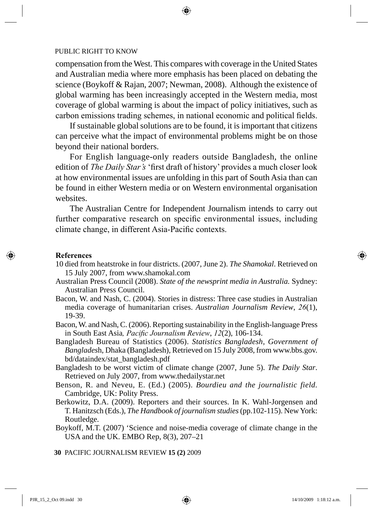compensation from the West. This compares with coverage in the United States and Australian media where more emphasis has been placed on debating the science (Boykoff & Rajan, 2007; Newman, 2008). Although the existence of global warming has been increasingly accepted in the Western media, most coverage of global warming is about the impact of policy initiatives, such as carbon emissions trading schemes, in national economic and political fields.

If sustainable global solutions are to be found, it is important that citizens can perceive what the impact of environmental problems might be on those beyond their national borders.

For English language-only readers outside Bangladesh, the online edition of *The Daily Star's* 'first draft of history' provides a much closer look at how environmental issues are unfolding in this part of South Asia than can be found in either Western media or on Western environmental organisation websites.

The Australian Centre for Independent Journalism intends to carry out further comparative research on specific environmental issues, including climate change, in different Asia-Pacific contexts.

#### **References**

- 10 died from heatstroke in four districts. (2007, June 2). *The Shamokal*. Retrieved on 15 July 2007, from www.shamokal.com
- Australian Press Council (2008). *State of the newsprint media in Australia.* Sydney: Australian Press Council.
- Bacon, W. and Nash, C. (2004). Stories in distress: Three case studies in Australian media coverage of humanitarian crises. *Australian Journalism Review*, *26*(1), 19-39.
- Bacon, W. and Nash, C. (2006). Reporting sustainability in the English-language Press in South East Asia*, Pacific Journalism Review*, *12*(2), 106-134.
- Bangladesh Bureau of Statistics (2006). *Statistics Bangladesh, Government of Banglades*h, Dhaka (Bangladesh), Retrieved on 15 July 2008, from www.bbs.gov. bd/dataindex/stat\_bangladesh.pdf
- Bangladesh to be worst victim of climate change (2007, June 5). *The Daily Star*. Retrieved on July 2007, from www.thedailystar.net
- Benson, R. and Neveu, E. (Ed.) (2005). *Bourdieu and the journalistic field.*  Cambridge, UK: Polity Press.
- Berkowitz, D.A. (2009). Reporters and their sources. In K. Wahl-Jorgensen and T. Hanitzsch (Eds.), *The Handbook of journalism studies* (pp.102-115). New York: Routledge.
- Boykoff, M.T. (2007) 'Science and noise-media coverage of climate change in the USA and the UK. EMBO Rep, 8(3), 207–21
- **30** PACIFIC JOURNALISM REVIEW **15 (2)** 2009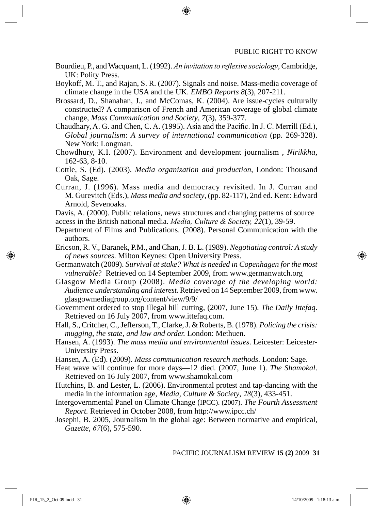- Bourdieu, P., and Wacquant, L. (1992). *An invitation to reflexive sociology*, Cambridge, UK: Polity Press.
- Boykoff, M. T., and Rajan, S. R. (2007). Signals and noise. Mass-media coverage of climate change in the USA and the UK. *EMBO Reports 8*(3), 207-211.
- Brossard, D., Shanahan, J., and McComas, K. (2004). Are issue-cycles culturally constructed? A comparison of French and American coverage of global climate change, *Mass Communication and Society*, *7*(3), 359-377.
- Chaudhary, A. G. and Chen, C. A. (1995). Asia and the Pacific. In J. C. Merrill (Ed.), *Global journalism*: *A survey of international communication* (pp. 269-328). New York: Longman.
- Chowdhury, K.I. (2007). Environment and development journalism , *Nirikkha,* 162-63, 8-10.
- Cottle, S. (Ed). (2003). *Media organization and production*, London: Thousand Oak, Sage.
- Curran, J. (1996). Mass media and democracy revisited. In J. Curran and M. Gurevitch (Eds.), *Mass media and society*, (pp. 82-117), 2nd ed. Kent: Edward Arnold, Sevenoaks.
- Davis, A. (2000). Public relations, news structures and changing patterns of source access in the British national media. *Media, Culture & Society, 22*(1), 39-59.
- Department of Films and Publications. (2008). Personal Communication with the authors.
- Ericson, R. V., Baranek, P.M., and Chan, J. B. L. (1989). *Negotiating control: A study of news sources*. Milton Keynes: Open University Press.
- Germanwatch (2009). *Survival at stake? What is needed in Copenhagen for the most vulnerable*? Retrieved on 14 September 2009, from www.germanwatch.org
- Glasgow Media Group (2008). *Media coverage of the developing world: Audience understanding and interest.* Retrieved on 14 September 2009, from www. glasgowmediagroup.org/content/view/9/9/
- Government ordered to stop illegal hill cutting, (2007, June 15). *The Daily Ittefaq*. Retrieved on 16 July 2007, from www.ittefaq.com.
- Hall, S., Critcher, C., Jefferson, T., Clarke, J. & Roberts, B. (1978). *Policing the crisis: mugging, the state, and law and order.* London: Methuen.
- Hansen, A. (1993). *The mass media and environmental issues*. Leicester: Leicester-University Press.
- Hansen, A. (Ed). (2009). *Mass communication research methods*. London: Sage.
- Heat wave will continue for more days—12 died. (2007, June 1). *The Shamokal*. Retrieved on 16 July 2007, from www.shamokal.com
- Hutchins, B. and Lester, L. (2006). Environmental protest and tap-dancing with the media in the information age, *Media, Culture & Society*, *28*(3), 433-451.
- Intergovernmental Panel on Climate Change (IPCC). (2007). *The Fourth Assessment Report.* Retrieved in October 2008, from http://www.ipcc.ch/
- Josephi, B. 2005, Journalism in the global age: Between normative and empirical, *Gazette*, *67*(6), 575-590.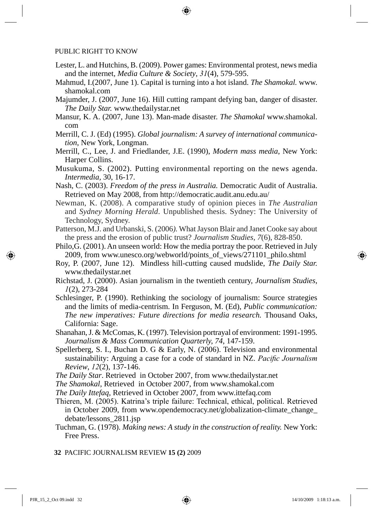- Lester, L. and Hutchins, B. (2009). Power games: Environmental protest, news media and the internet, *Media Culture & Society*, *31*(4), 579-595.
- Mahmud, I.(2007, June 1). Capital is turning into a hot island. *The Shamokal.* www. shamokal.com
- Majumder, J. (2007, June 16). Hill cutting rampant defying ban, danger of disaster. *The Daily Star.* www.thedailystar.net
- Mansur, K. A. (2007, June 13). Man-made disaster. *The Shamokal* www.shamokal. com
- Merrill, C. J. (Ed) (1995). *Global journalism: A survey of international communication*, New York, Longman.
- Merrill, C., Lee, J. and Friedlander, J.E. (1990), *Modern mass media*, New York: Harper Collins.
- Musukuma, S. (2002). Putting environmental reporting on the news agenda. *Intermedia,* 30, 16-17.
- Nash, C. (2003). *Freedom of the press in Australia.* Democratic Audit of Australia. Retrieved on May 2008, from http://democratic.audit.anu.edu.au/
- Newman, K. (2008). A comparative study of opinion pieces in *The Australian* and *Sydney Morning Herald*. Unpublished thesis. Sydney: The University of Technology, Sydney.
- Patterson, M.J. and Urbanski, S. (2006*).* What Jayson Blair and Janet Cooke say about the press and the erosion of public trust? *Journalism Studies, 7*(6), 828-850.
- Philo, $\dot{G}$ . (2001). An unseen world: How the media portray the poor. Retrieved in July 2009, from www.unesco.org/webworld/points\_of\_views/271101\_philo.shtml
- Roy, P. (2007, June 12). Mindless hill-cutting caused mudslide, *The Daily Star.*  www.thedailystar.net
- Richstad, J. (2000). Asian journalism in the twentieth century, *Journalism Studies*, *1*(2), 273-284
- Schlesinger, P. (1990). Rethinking the sociology of journalism: Source strategies and the limits of media-centrism. In Ferguson, M. (Ed), *Public communication: The new imperatives: Future directions for media research. Thousand Oaks,* California: Sage.
- Shanahan, J. & McComas, K. (1997). Television portrayal of environment: 1991-1995. *Journalism & Mass Communication Quarterly, 74*, 147-159.
- Spellerberg, S. I., Buchan D. G & Early, N. (2006). Television and environmental sustainability: Arguing a case for a code of standard in NZ. *Pacific Journalism Review*, *12*(2), 137-146.
- *The Daily Star*. Retrieved in October 2007, from www.thedailystar.net
- *The Shamokal*, Retrieved in October 2007, from www.shamokal.com
- *The Daily Ittefaq*, Retrieved in October 2007, from www.ittefaq.com
- Thieren, M. (2005). Katrina's triple failure: Technical, ethical, political. Retrieved in October 2009, from www.opendemocracy.net/globalization-climate\_change\_ debate/lessons\_2811.jsp
- Tuchman, G. (1978). *Making news: A study in the construction of reality.* New York: Free Press.
- **32** PACIFIC JOURNALISM REVIEW **15 (2)** 2009